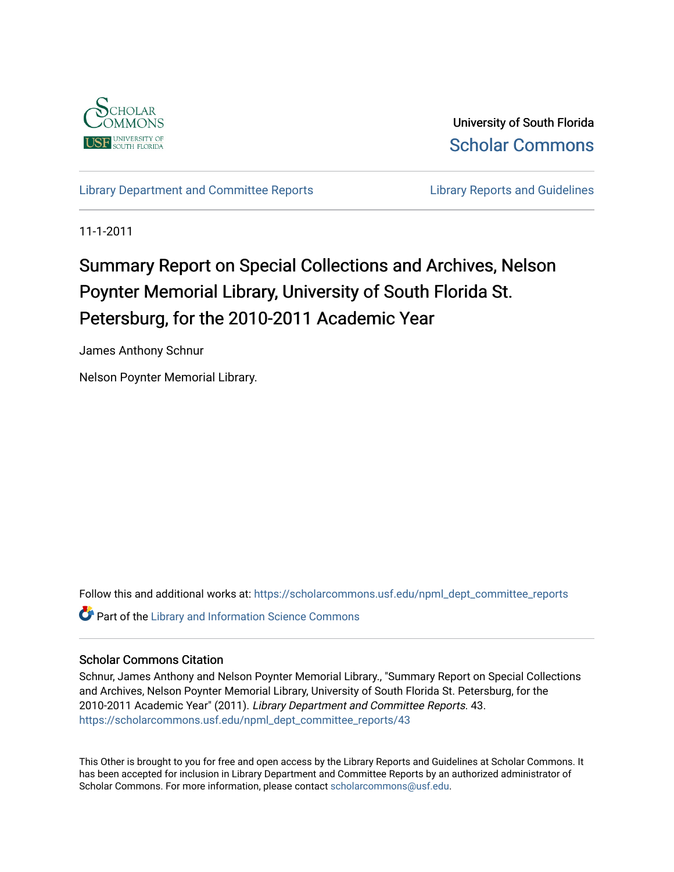

University of South Florida [Scholar Commons](https://scholarcommons.usf.edu/) 

[Library Department and Committee Reports](https://scholarcommons.usf.edu/npml_dept_committee_reports) **Library Reports and Guidelines** 

11-1-2011

# Summary Report on Special Collections and Archives, Nelson Poynter Memorial Library, University of South Florida St. Petersburg, for the 2010-2011 Academic Year

James Anthony Schnur

Nelson Poynter Memorial Library.

Follow this and additional works at: [https://scholarcommons.usf.edu/npml\\_dept\\_committee\\_reports](https://scholarcommons.usf.edu/npml_dept_committee_reports?utm_source=scholarcommons.usf.edu%2Fnpml_dept_committee_reports%2F43&utm_medium=PDF&utm_campaign=PDFCoverPages) **Part of the Library and Information Science Commons** 

# Scholar Commons Citation

Schnur, James Anthony and Nelson Poynter Memorial Library., "Summary Report on Special Collections and Archives, Nelson Poynter Memorial Library, University of South Florida St. Petersburg, for the 2010-2011 Academic Year" (2011). Library Department and Committee Reports. 43. [https://scholarcommons.usf.edu/npml\\_dept\\_committee\\_reports/43](https://scholarcommons.usf.edu/npml_dept_committee_reports/43?utm_source=scholarcommons.usf.edu%2Fnpml_dept_committee_reports%2F43&utm_medium=PDF&utm_campaign=PDFCoverPages) 

This Other is brought to you for free and open access by the Library Reports and Guidelines at Scholar Commons. It has been accepted for inclusion in Library Department and Committee Reports by an authorized administrator of Scholar Commons. For more information, please contact [scholarcommons@usf.edu](mailto:scholarcommons@usf.edu).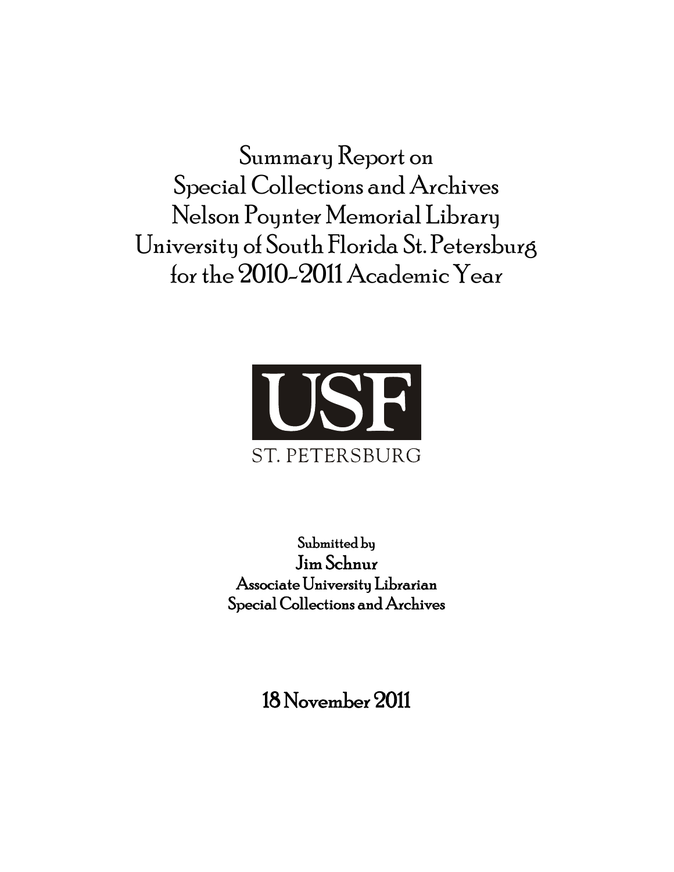Summary Report on Special Collections and Archives Nelson Poynter Memorial Library University of South Florida St. Petersburg for the 2010-2011 Academic Year



Submitted by Jim Schnur Associate University Librarian Special Collections and Archives

18 November 2011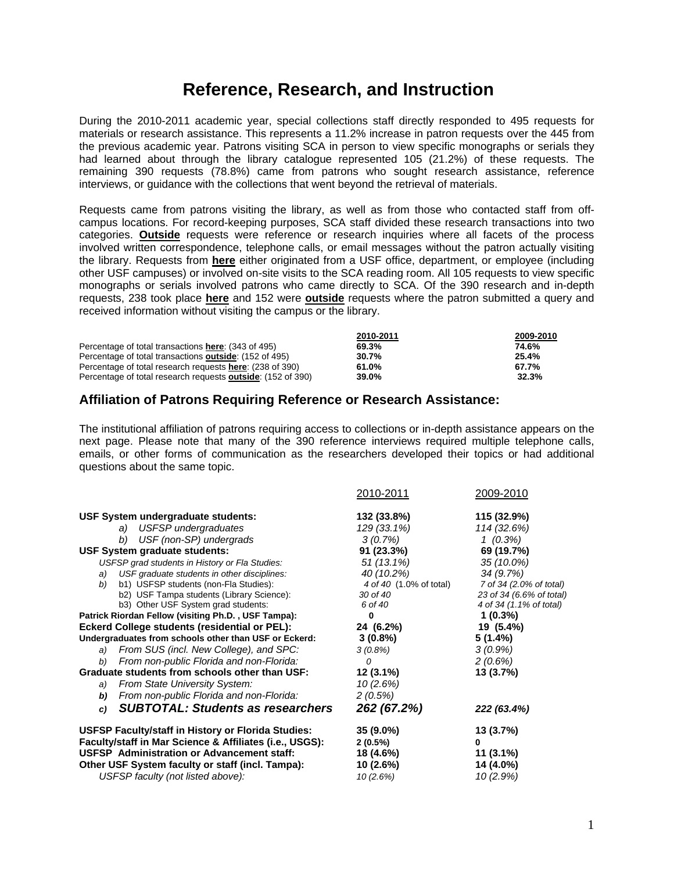# **Reference, Research, and Instruction**

During the 2010-2011 academic year, special collections staff directly responded to 495 requests for materials or research assistance. This represents a 11.2% increase in patron requests over the 445 from the previous academic year. Patrons visiting SCA in person to view specific monographs or serials they had learned about through the library catalogue represented 105 (21.2%) of these requests. The remaining 390 requests (78.8%) came from patrons who sought research assistance, reference interviews, or guidance with the collections that went beyond the retrieval of materials.

Requests came from patrons visiting the library, as well as from those who contacted staff from offcampus locations. For record-keeping purposes, SCA staff divided these research transactions into two categories. **Outside** requests were reference or research inquiries where all facets of the process involved written correspondence, telephone calls, or email messages without the patron actually visiting the library. Requests from **here** either originated from a USF office, department, or employee (including other USF campuses) or involved on-site visits to the SCA reading room. All 105 requests to view specific monographs or serials involved patrons who came directly to SCA. Of the 390 research and in-depth requests, 238 took place **here** and 152 were **outside** requests where the patron submitted a query and received information without visiting the campus or the library.

|                                                                     | 2010-2011 | 2009-2010 |
|---------------------------------------------------------------------|-----------|-----------|
| Percentage of total transactions here: (343 of 495)                 | 69.3%     | 74.6%     |
| Percentage of total transactions <b>outside</b> : (152 of 495)      | 30.7%     | 25.4%     |
| Percentage of total research requests <b>here</b> : (238 of 390)    | 61.0%     | 67.7%     |
| Percentage of total research requests <b>outside</b> : (152 of 390) | 39.0%     | 32.3%     |

# **Affiliation of Patrons Requiring Reference or Research Assistance:**

The institutional affiliation of patrons requiring access to collections or in-depth assistance appears on the next page. Please note that many of the 390 reference interviews required multiple telephone calls, emails, or other forms of communication as the researchers developed their topics or had additional questions about the same topic.

|                                                                                                                                                                                                                                                             | 2010-2011                                                         | 2009-2010                                                                                  |
|-------------------------------------------------------------------------------------------------------------------------------------------------------------------------------------------------------------------------------------------------------------|-------------------------------------------------------------------|--------------------------------------------------------------------------------------------|
| USF System undergraduate students:<br>a) USFSP undergraduates<br>USF (non-SP) undergrads<br>b)                                                                                                                                                              | 132 (33.8%)<br>129 (33.1%)<br>3(0.7%)                             | 115 (32.9%)<br>114 (32.6%)<br>1(0.3%)                                                      |
| <b>USF System graduate students:</b>                                                                                                                                                                                                                        | 91(23.3%)                                                         | 69 (19.7%)                                                                                 |
| USFSP grad students in History or Fla Studies:                                                                                                                                                                                                              | 51 (13.1%)                                                        | 35 (10.0%)                                                                                 |
| USF graduate students in other disciplines:<br>a)<br>b1) USFSP students (non-Fla Studies):<br>b)<br>b2) USF Tampa students (Library Science):<br>b3) Other USF System grad students:                                                                        | 40 (10.2%)<br>4 of 40 (1.0% of total)<br>30 of 40<br>6 of 40      | 34(9.7%)<br>7 of 34 (2.0% of total)<br>23 of 34 (6.6% of total)<br>4 of 34 (1.1% of total) |
| Patrick Riordan Fellow (visiting Ph.D., USF Tampa):                                                                                                                                                                                                         | 0                                                                 | $1(0.3\%)$                                                                                 |
| <b>Eckerd College students (residential or PEL):</b>                                                                                                                                                                                                        | 24 (6.2%)                                                         | 19 (5.4%)                                                                                  |
| Undergraduates from schools other than USF or Eckerd:                                                                                                                                                                                                       | $3(0.8\%)$                                                        | $5(1.4\%)$                                                                                 |
| From SUS (incl. New College), and SPC:<br>a)                                                                                                                                                                                                                | $3(0.8\%)$                                                        | $3(0.9\%)$                                                                                 |
| From non-public Florida and non-Florida:<br>b)                                                                                                                                                                                                              | 0                                                                 | 2(0.6%)                                                                                    |
| Graduate students from schools other than USF:                                                                                                                                                                                                              | $12(3.1\%)$                                                       | 13(3.7%)                                                                                   |
| <b>From State University System:</b><br>a)<br>From non-public Florida and non-Florida:<br>b)                                                                                                                                                                | 10(2.6%)<br>2(0.5%)                                               |                                                                                            |
| <b>SUBTOTAL: Students as researchers</b><br>C)                                                                                                                                                                                                              | 262 (67.2%)                                                       | 222 (63.4%)                                                                                |
| USFSP Faculty/staff in History or Florida Studies:<br>Faculty/staff in Mar Science & Affiliates (i.e., USGS):<br><b>USFSP</b> Administration or Advancement staff:<br>Other USF System faculty or staff (incl. Tampa):<br>USFSP faculty (not listed above): | $35(9.0\%)$<br>$2(0.5\%)$<br>18 (4.6%)<br>$10(2.6\%)$<br>10(2.6%) | 13 (3.7%)<br>0<br>$11(3.1\%)$<br>14 (4.0%)<br>10 (2.9%)                                    |
|                                                                                                                                                                                                                                                             |                                                                   |                                                                                            |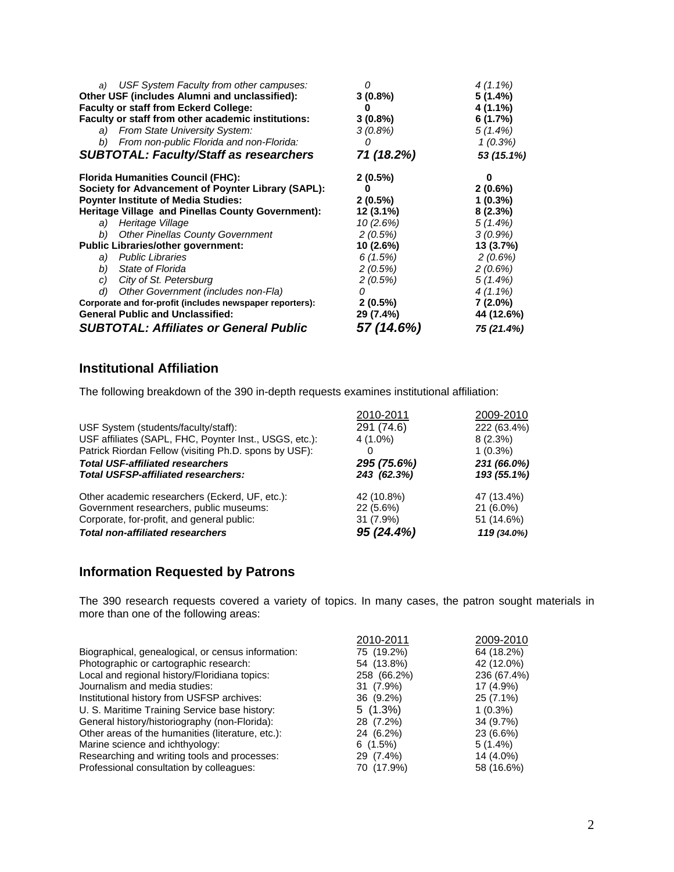| USF System Faculty from other campuses:<br>a)<br>Other USF (includes Alumni and unclassified):<br><b>Faculty or staff from Eckerd College:</b><br>Faculty or staff from other academic institutions:<br>a) From State University System:<br>From non-public Florida and non-Florida:<br>b)<br><b>SUBTOTAL: Faculty/Staff as researchers</b> | Ω<br>$3(0.8\%)$<br>o<br>$3(0.8\%)$<br>$3(0.8\%)$<br>O<br>71 (18.2%)                      | $4(1.1\%)$<br>$5(1.4\%)$<br>4 (1.1%)<br>6(1.7%)<br>$5(1.4\%)$<br>$1(0.3\%)$<br>53 (15.1%)            |
|---------------------------------------------------------------------------------------------------------------------------------------------------------------------------------------------------------------------------------------------------------------------------------------------------------------------------------------------|------------------------------------------------------------------------------------------|------------------------------------------------------------------------------------------------------|
| <b>Florida Humanities Council (FHC):</b><br>Society for Advancement of Poynter Library (SAPL):<br><b>Poynter Institute of Media Studies:</b><br>Heritage Village and Pinellas County Government):<br>Heritage Village<br>a)<br><b>Other Pinellas County Government</b><br>b)                                                                | $2(0.5\%)$<br>O<br>$2(0.5\%)$<br>12 (3.1%)<br>10(2.6%)<br>2(0.5%)                        | 0<br>$2(0.6\%)$<br>$1(0.3\%)$<br>$8(2.3\%)$<br>$5(1.4\%)$<br>$3(0.9\%)$                              |
| <b>Public Libraries/other government:</b><br>a) Public Libraries<br>State of Florida<br>b)<br>City of St. Petersburg<br>C)<br>Other Government (includes non-Fla)<br>d)<br>Corporate and for-profit (includes newspaper reporters):<br><b>General Public and Unclassified:</b><br><b>SUBTOTAL: Affiliates or General Public</b>             | 10 (2.6%)<br>6(1.5%)<br>2(0.5%)<br>2(0.5%)<br>0<br>$2(0.5\%)$<br>29 (7.4%)<br>57 (14.6%) | 13(3.7%)<br>2(0.6%)<br>2(0.6%)<br>$5(1.4\%)$<br>$4(1.1\%)$<br>$7(2.0\%)$<br>44 (12.6%)<br>75 (21.4%) |

# **Institutional Affiliation**

The following breakdown of the 390 in-depth requests examines institutional affiliation:

|                                                        | 2010-2011   | 2009-2010   |
|--------------------------------------------------------|-------------|-------------|
| USF System (students/faculty/staff):                   | 291 (74.6)  | 222 (63.4%) |
| USF affiliates (SAPL, FHC, Poynter Inst., USGS, etc.): | 4 (1.0%)    | 8 (2.3%)    |
| Patrick Riordan Fellow (visiting Ph.D. spons by USF):  |             | $1(0.3\%)$  |
| <b>Total USF-affiliated researchers</b>                | 295 (75.6%) | 231 (66.0%) |
| <b>Total USFSP-affiliated researchers:</b>             | 243 (62.3%) | 193 (55.1%) |
| Other academic researchers (Eckerd, UF, etc.):         | 42 (10.8%)  | 47 (13.4%)  |
| Government researchers, public museums:                | 22 (5.6%)   | $21(6.0\%)$ |
| Corporate, for-profit, and general public:             | $31(7.9\%)$ | 51 (14.6%)  |
| <b>Total non-affiliated researchers</b>                | 95 (24.4%)  | 119 (34.0%) |

# **Information Requested by Patrons**

The 390 research requests covered a variety of topics. In many cases, the patron sought materials in more than one of the following areas:

|                                                    | 2010-2011   | 2009-2010   |
|----------------------------------------------------|-------------|-------------|
| Biographical, genealogical, or census information: | 75 (19.2%)  | 64 (18.2%)  |
| Photographic or cartographic research:             | 54 (13.8%)  | 42 (12.0%)  |
| Local and regional history/Floridiana topics:      | 258 (66.2%) | 236 (67.4%) |
| Journalism and media studies:                      | 31 (7.9%)   | 17 (4.9%)   |
| Institutional history from USFSP archives:         | 36 (9.2%)   | 25 (7.1%)   |
| U. S. Maritime Training Service base history:      | $5(1.3\%)$  | $1(0.3\%)$  |
| General history/historiography (non-Florida):      | 28 (7.2%)   | 34 (9.7%)   |
| Other areas of the humanities (literature, etc.):  | 24 (6.2%)   | 23 (6.6%)   |
| Marine science and ichthyology:                    | $6(1.5\%)$  | $5(1.4\%)$  |
| Researching and writing tools and processes:       | 29 (7.4%)   | 14 (4.0%)   |
| Professional consultation by colleagues:           | 70 (17.9%)  | 58 (16.6%)  |
|                                                    |             |             |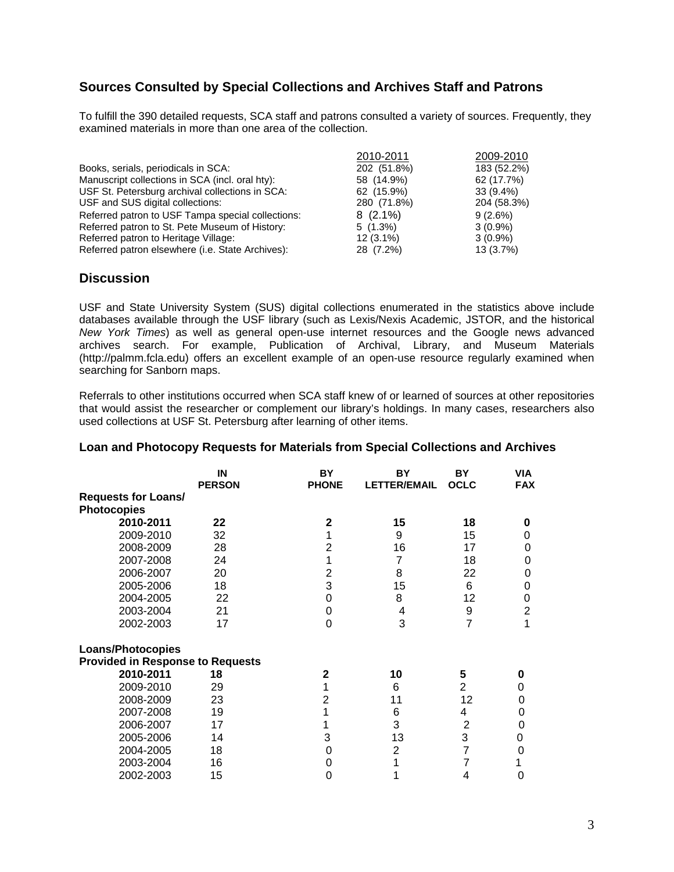# **Sources Consulted by Special Collections and Archives Staff and Patrons**

To fulfill the 390 detailed requests, SCA staff and patrons consulted a variety of sources. Frequently, they examined materials in more than one area of the collection.

| 2010-2011   | 2009-2010                                              |
|-------------|--------------------------------------------------------|
|             | 183 (52.2%)                                            |
|             | 62 (17.7%)                                             |
| 62 (15.9%)  | $33(9.4\%)$                                            |
|             | 204 (58.3%)                                            |
|             | 9(2.6%)                                                |
| $5(1.3\%)$  | $3(0.9\%)$                                             |
| $12(3.1\%)$ | $3(0.9\%)$                                             |
| 28 (7.2%)   | 13 (3.7%)                                              |
|             | 202 (51.8%)<br>58 (14.9%)<br>280 (71.8%)<br>$8(2.1\%)$ |

#### **Discussion**

USF and State University System (SUS) digital collections enumerated in the statistics above include databases available through the USF library (such as Lexis/Nexis Academic, JSTOR, and the historical *New York Times*) as well as general open-use internet resources and the Google news advanced archives search. For example, Publication of Archival, Library, and Museum Materials (http://palmm.fcla.edu) offers an excellent example of an open-use resource regularly examined when searching for Sanborn maps.

Referrals to other institutions occurred when SCA staff knew of or learned of sources at other repositories that would assist the researcher or complement our library's holdings. In many cases, researchers also used collections at USF St. Petersburg after learning of other items.

|                                         | IN<br><b>PERSON</b> | BY<br><b>PHONE</b> | BY<br><b>LETTER/EMAIL</b> | <b>BY</b><br><b>OCLC</b> | <b>VIA</b><br><b>FAX</b> |
|-----------------------------------------|---------------------|--------------------|---------------------------|--------------------------|--------------------------|
| <b>Requests for Loans/</b>              |                     |                    |                           |                          |                          |
| <b>Photocopies</b>                      |                     |                    |                           |                          |                          |
| 2010-2011                               | 22                  | $\mathbf{2}$       | 15                        | 18                       | 0                        |
| 2009-2010                               | 32                  |                    | 9                         | 15                       | 0                        |
| 2008-2009                               | 28                  | 2                  | 16                        | 17                       | 0                        |
| 2007-2008                               | 24                  |                    | 7                         | 18                       | 0                        |
| 2006-2007                               | 20                  | 2                  | 8                         | 22                       | 0                        |
| 2005-2006                               | 18                  | 3                  | 15                        | 6                        | 0                        |
| 2004-2005                               | 22                  | 0                  | 8                         | 12                       | 0                        |
| 2003-2004                               | 21                  | 0                  | 4                         | 9                        | $\overline{2}$           |
| 2002-2003                               | 17                  | 0                  | 3                         | $\overline{7}$           | 1                        |
| <b>Loans/Photocopies</b>                |                     |                    |                           |                          |                          |
| <b>Provided in Response to Requests</b> |                     |                    |                           |                          |                          |
| 2010-2011                               | 18                  | $\mathbf{2}$       | 10                        | 5                        | 0                        |
| 2009-2010                               | 29                  | 1                  | 6                         | $\overline{2}$           | 0                        |
| 2008-2009                               | 23                  | $\overline{2}$     | 11                        | 12                       | 0                        |
| 2007-2008                               | 19                  |                    | 6                         | 4                        | 0                        |
| 2006-2007                               | 17                  |                    | 3                         | $\overline{2}$           | 0                        |
| 2005-2006                               | 14                  | 3                  | 13                        | 3                        | 0                        |
| 2004-2005                               | 18                  | 0                  | $\overline{2}$            | 7                        | 0                        |
| 2003-2004                               | 16                  | O                  |                           |                          |                          |
| 2002-2003                               | 15                  | 0                  |                           | 4                        | 0                        |

#### **Loan and Photocopy Requests for Materials from Special Collections and Archives**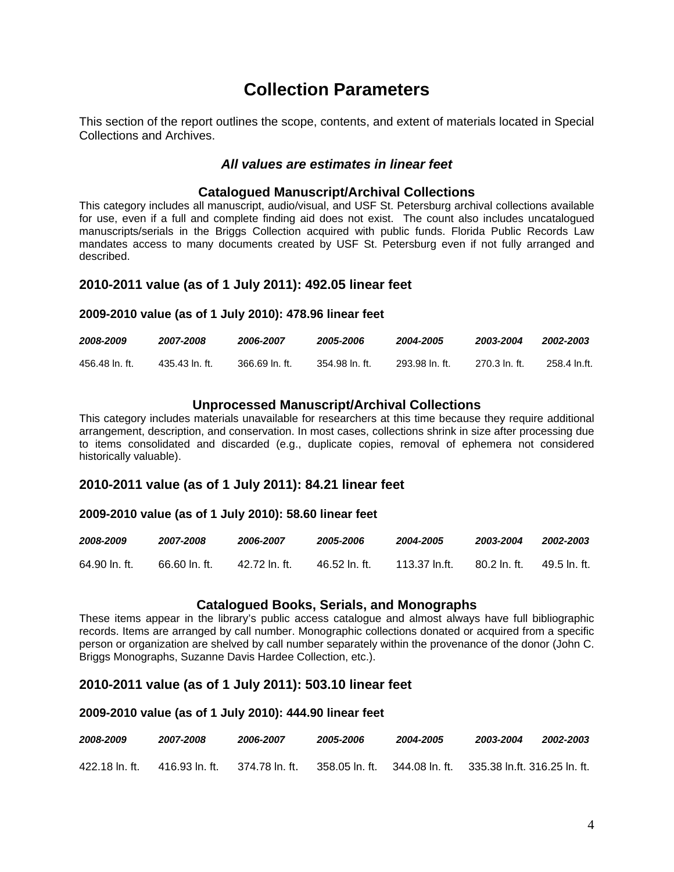# **Collection Parameters**

This section of the report outlines the scope, contents, and extent of materials located in Special Collections and Archives.

#### *All values are estimates in linear feet*

#### **Catalogued Manuscript/Archival Collections**

This category includes all manuscript, audio/visual, and USF St. Petersburg archival collections available for use, even if a full and complete finding aid does not exist. The count also includes uncatalogued manuscripts/serials in the Briggs Collection acquired with public funds. Florida Public Records Law mandates access to many documents created by USF St. Petersburg even if not fully arranged and described.

#### **2010-2011 value (as of 1 July 2011): 492.05 linear feet**

#### **2009-2010 value (as of 1 July 2010): 478.96 linear feet**

| 2008-2009      | 2007-2008      | 2006-2007     | 2005-2006       | 2004-2005     | 2003-2004      | 2002-2003    |
|----------------|----------------|---------------|-----------------|---------------|----------------|--------------|
| 456.48 ln. ft. | 435.43 ln. ft. | 366.69 In ft. | .354.98 In. ft. | 293.98 In. ft | - 270.3 In. ft | 258.4 In.ft. |

#### **Unprocessed Manuscript/Archival Collections**

This category includes materials unavailable for researchers at this time because they require additional arrangement, description, and conservation. In most cases, collections shrink in size after processing due to items consolidated and discarded (e.g., duplicate copies, removal of ephemera not considered historically valuable).

#### **2010-2011 value (as of 1 July 2011): 84.21 linear feet**

#### **2009-2010 value (as of 1 July 2010): 58.60 linear feet**

| 2008-2009     | 2007-2008     | 2006-2007    | 2005-2006   | 2004-2005     | 2003-2004     | 2002-2003    |
|---------------|---------------|--------------|-------------|---------------|---------------|--------------|
| 64.90 ln. ft. | 66.60 ln. ft. | 42.72 In ft. | 46.52 In ft | 113.37 In.ft. | -80.2 In. ft. | 49.5 ln. ft. |

#### **Catalogued Books, Serials, and Monographs**

These items appear in the library's public access catalogue and almost always have full bibliographic records. Items are arranged by call number. Monographic collections donated or acquired from a specific person or organization are shelved by call number separately within the provenance of the donor (John C. Briggs Monographs, Suzanne Davis Hardee Collection, etc.).

# **2010-2011 value (as of 1 July 2011): 503.10 linear feet**

#### **2009-2010 value (as of 1 July 2010): 444.90 linear feet**

| 2008-2009      | 2007-2008      | 2006-2007       | 2005-2006      | 2004-2005      | 2003-2004                      | 2002-2003 |
|----------------|----------------|-----------------|----------------|----------------|--------------------------------|-----------|
| 422.18 ln. ft. | 416.93 In. ft. | .374.78 ln. ft. | 358.05 In. ft. | 344.08 ln. ft. | – 335.38 ln.ft. 316.25 ln. ft. |           |